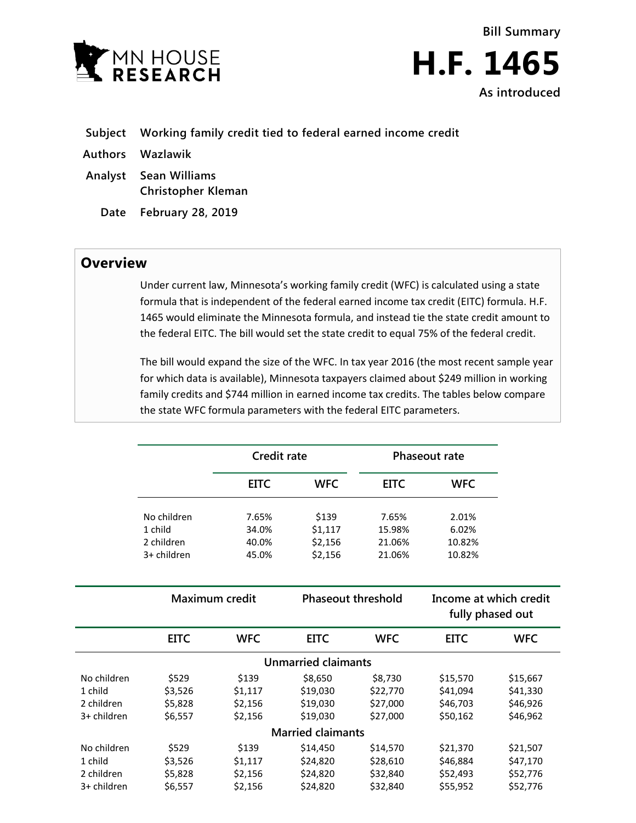

**Bill Summary H.F. 1465 As introduced**

- **Subject Working family credit tied to federal earned income credit**
- **Authors Wazlawik**
- **Analyst Sean Williams Christopher Kleman**
	- **Date February 28, 2019**

## **Overview**

Under current law, Minnesota's working family credit (WFC) is calculated using a state formula that is independent of the federal earned income tax credit (EITC) formula. H.F. 1465 would eliminate the Minnesota formula, and instead tie the state credit amount to the federal EITC. The bill would set the state credit to equal 75% of the federal credit.

The bill would expand the size of the WFC. In tax year 2016 (the most recent sample year for which data is available), Minnesota taxpayers claimed about \$249 million in working family credits and \$744 million in earned income tax credits. The tables below compare the state WFC formula parameters with the federal EITC parameters.

|                                                     | <b>Credit rate</b>                     |                                        |                                             |                                             | Phaseout rate                                |                                              |
|-----------------------------------------------------|----------------------------------------|----------------------------------------|---------------------------------------------|---------------------------------------------|----------------------------------------------|----------------------------------------------|
|                                                     |                                        | <b>EITC</b>                            | <b>WFC</b>                                  | <b>EITC</b>                                 | <b>WFC</b>                                   |                                              |
|                                                     | No children                            | 7.65%                                  | \$139                                       | 7.65%                                       | 2.01%                                        |                                              |
|                                                     | 1 child<br>2 children                  | 34.0%<br>40.0%                         | \$1,117<br>\$2,156                          | 15.98%<br>21.06%                            | 6.02%<br>10.82%                              |                                              |
|                                                     | 3+ children                            | 45.0%                                  | \$2,156                                     | 21.06%                                      | 10.82%                                       |                                              |
|                                                     | <b>Maximum credit</b>                  |                                        | <b>Phaseout threshold</b>                   |                                             | Income at which credit<br>fully phased out   |                                              |
|                                                     | <b>EITC</b>                            | <b>WFC</b>                             | <b>EITC</b>                                 | <b>WFC</b>                                  | <b>EITC</b>                                  | <b>WFC</b>                                   |
|                                                     |                                        |                                        | <b>Unmarried claimants</b>                  |                                             |                                              |                                              |
| No children<br>1 child<br>2 children<br>3+ children | \$529<br>\$3,526<br>\$5,828<br>\$6,557 | \$139<br>\$1,117<br>\$2,156<br>\$2,156 | \$8,650<br>\$19,030<br>\$19,030<br>\$19,030 | \$8,730<br>\$22,770<br>\$27,000<br>\$27,000 | \$15,570<br>\$41,094<br>\$46,703<br>\$50,162 | \$15,667<br>\$41,330<br>\$46,926<br>\$46,962 |
|                                                     |                                        |                                        | <b>Married claimants</b>                    |                                             |                                              |                                              |
| No children<br>1 child<br>2 children                | \$529<br>\$3,526<br>\$5,828            | \$139<br>\$1,117<br>\$2,156            | \$14,450<br>\$24,820<br>\$24,820            | \$14,570<br>\$28,610<br>\$32,840            | \$21,370<br>\$46,884<br>\$52,493             | \$21,507<br>\$47,170<br>\$52,776             |
| 3+ children                                         | \$6,557                                | \$2,156                                | \$24,820                                    | \$32,840                                    | \$55,952                                     | \$52,776                                     |